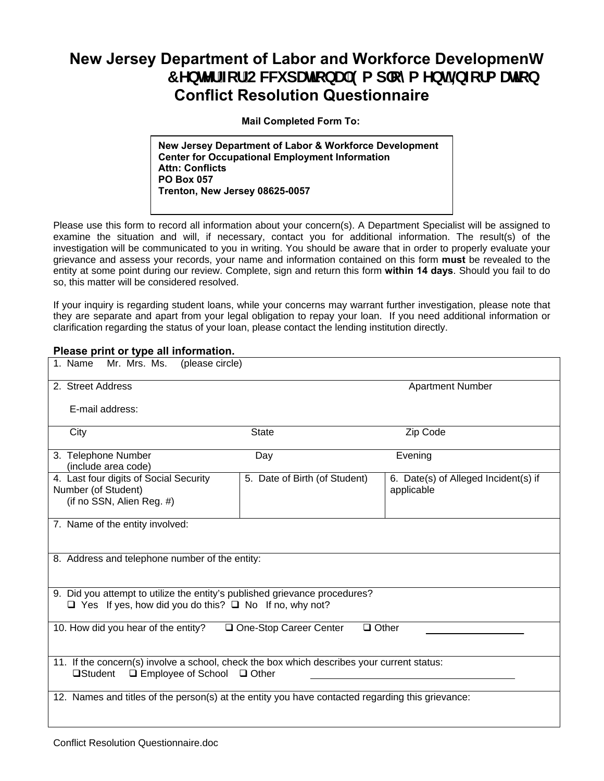## **New Jersey Department of Labor and Workforce Developmenh 7 YbhYf Zef CVWV dUncbU 9a d'ema Ybh=bZefa Uncb Conflict Resolution Questionnaire**

 **Mail Completed Form To:**

**New Jersey Department of Labor & Workforce Development Center for Occupational Employment Information Attn: Conflicts PO Box 057 Trenton, New Jersey 08625-0057**

Please use this form to record all information about your concern(s). A Department Specialist will be assigned to examine the situation and will, if necessary, contact you for additional information. The result(s) of the investigation will be communicated to you in writing. You should be aware that in order to properly evaluate your grievance and assess your records, your name and information contained on this form **must** be revealed to the entity at some point during our review. Complete, sign and return this form **within 14 days**. Should you fail to do so, this matter will be considered resolved.

If your inquiry is regarding student loans, while your concerns may warrant further investigation, please note that they are separate and apart from your legal obligation to repay your loan. If you need additional information or clarification regarding the status of your loan, please contact the lending institution directly.

## **Please print or type all information.**

| Mr. Mrs. Ms.<br>1. Name<br>(please circle)                                                                                                              |                               |                                                    |  |
|---------------------------------------------------------------------------------------------------------------------------------------------------------|-------------------------------|----------------------------------------------------|--|
| 2. Street Address                                                                                                                                       |                               | <b>Apartment Number</b>                            |  |
| E-mail address:                                                                                                                                         |                               |                                                    |  |
| City                                                                                                                                                    | <b>State</b>                  | Zip Code                                           |  |
| 3. Telephone Number<br>(include area code)                                                                                                              | Day                           | Evening                                            |  |
| 4. Last four digits of Social Security<br>Number (of Student)<br>(if no SSN, Alien Reg. #)                                                              | 5. Date of Birth (of Student) | 6. Date(s) of Alleged Incident(s) if<br>applicable |  |
| 7. Name of the entity involved:                                                                                                                         |                               |                                                    |  |
| 8. Address and telephone number of the entity:                                                                                                          |                               |                                                    |  |
| 9. Did you attempt to utilize the entity's published grievance procedures?<br>$\Box$ Yes If yes, how did you do this? $\Box$ No If no, why not?         |                               |                                                    |  |
| 10. How did you hear of the entity?<br>One-Stop Career Center<br>$\Box$ Other                                                                           |                               |                                                    |  |
| 11. If the concern(s) involve a school, check the box which describes your current status:<br>$\Box$ Employee of School $\Box$ Other<br><b>□Student</b> |                               |                                                    |  |
| 12. Names and titles of the person(s) at the entity you have contacted regarding this grievance:                                                        |                               |                                                    |  |